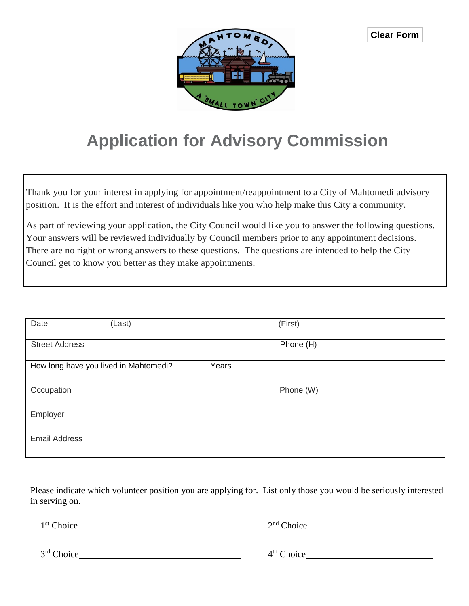

## **Application for Advisory Commission**

Thank you for your interest in applying for appointment/reappointment to a City of Mahtomedi advisory position. It is the effort and interest of individuals like you who help make this City a community.

As part of reviewing your application, the City Council would like you to answer the following questions. Your answers will be reviewed individually by Council members prior to any appointment decisions. There are no right or wrong answers to these questions. The questions are intended to help the City Council get to know you better as they make appointments.

| Date                  | (Last)                                | (First)   |
|-----------------------|---------------------------------------|-----------|
|                       |                                       |           |
|                       |                                       |           |
| <b>Street Address</b> |                                       | Phone (H) |
|                       |                                       |           |
|                       | How long have you lived in Mahtomedi? | Years     |
|                       |                                       |           |
|                       |                                       |           |
| Occupation            |                                       | Phone (W) |
|                       |                                       |           |
|                       |                                       |           |
| Employer              |                                       |           |
|                       |                                       |           |
|                       |                                       |           |
| <b>Email Address</b>  |                                       |           |
|                       |                                       |           |
|                       |                                       |           |

Please indicate which volunteer position you are applying for. List only those you would be seriously interested in serving on.

| 1 <sup>st</sup> Choice | $2nd$ Choice |  |
|------------------------|--------------|--|
|                        |              |  |
| 3 <sup>rd</sup> Choice | $4th$ Choice |  |